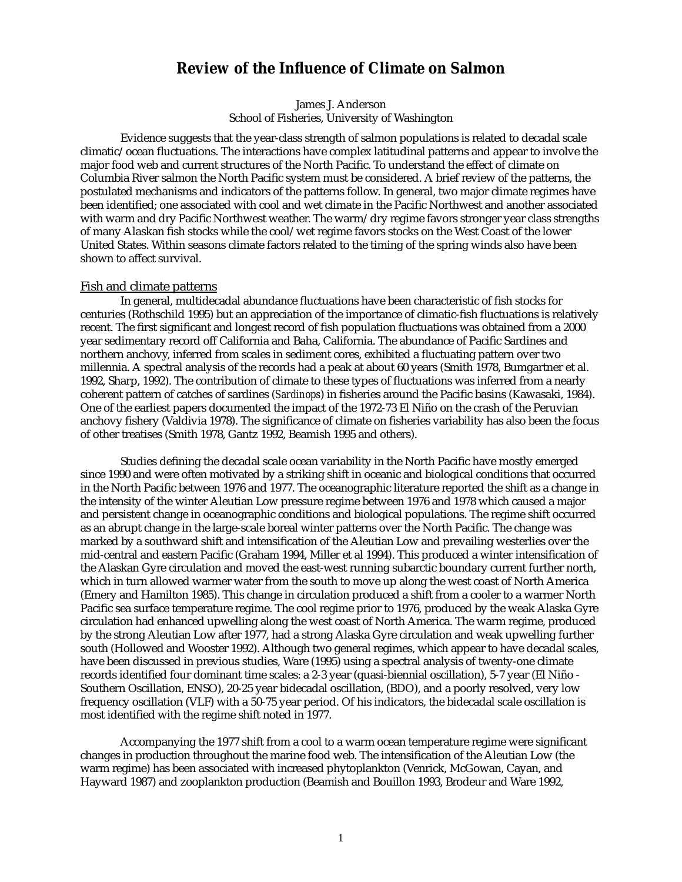# **Review of the Influence of Climate on Salmon**

James J. Anderson School of Fisheries, University of Washington

Evidence suggests that the year-class strength of salmon populations is related to decadal scale climatic/ocean fluctuations. The interactions have complex latitudinal patterns and appear to involve the major food web and current structures of the North Pacific. To understand the effect of climate on Columbia River salmon the North Pacific system must be considered. A brief review of the patterns, the postulated mechanisms and indicators of the patterns follow. In general, two major climate regimes have been identified; one associated with cool and wet climate in the Pacific Northwest and another associated with warm and dry Pacific Northwest weather. The warm/dry regime favors stronger year class strengths of many Alaskan fish stocks while the cool/wet regime favors stocks on the West Coast of the lower United States. Within seasons climate factors related to the timing of the spring winds also have been shown to affect survival.

### Fish and climate patterns

In general, multidecadal abundance fluctuations have been characteristic of fish stocks for centuries (Rothschild 1995) but an appreciation of the importance of climatic-fish fluctuations is relatively recent. The first significant and longest record of fish population fluctuations was obtained from a 2000 year sedimentary record off California and Baha, California. The abundance of Pacific Sardines and northern anchovy, inferred from scales in sediment cores, exhibited a fluctuating pattern over two millennia. A spectral analysis of the records had a peak at about 60 years (Smith 1978, Bumgartner et al. 1992, Sharp, 1992). The contribution of climate to these types of fluctuations was inferred from a nearly coherent pattern of catches of sardines (*Sardinops*) in fisheries around the Pacific basins (Kawasaki, 1984). One of the earliest papers documented the impact of the 1972-73 El Niño on the crash of the Peruvian anchovy fishery (Valdivia 1978). The significance of climate on fisheries variability has also been the focus of other treatises (Smith 1978, Gantz 1992, Beamish 1995 and others).

Studies defining the decadal scale ocean variability in the North Pacific have mostly emerged since 1990 and were often motivated by a striking shift in oceanic and biological conditions that occurred in the North Pacific between 1976 and 1977. The oceanographic literature reported the shift as a change in the intensity of the winter Aleutian Low pressure regime between 1976 and 1978 which caused a major and persistent change in oceanographic conditions and biological populations. The regime shift occurred as an abrupt change in the large-scale boreal winter patterns over the North Pacific. The change was marked by a southward shift and intensification of the Aleutian Low and prevailing westerlies over the mid-central and eastern Pacific (Graham 1994, Miller et al 1994). This produced a winter intensification of the Alaskan Gyre circulation and moved the east-west running subarctic boundary current further north, which in turn allowed warmer water from the south to move up along the west coast of North America (Emery and Hamilton 1985). This change in circulation produced a shift from a cooler to a warmer North Pacific sea surface temperature regime. The cool regime prior to 1976, produced by the weak Alaska Gyre circulation had enhanced upwelling along the west coast of North America. The warm regime, produced by the strong Aleutian Low after 1977, had a strong Alaska Gyre circulation and weak upwelling further south (Hollowed and Wooster 1992). Although two general regimes, which appear to have decadal scales, have been discussed in previous studies, Ware (1995) using a spectral analysis of twenty-one climate records identified four dominant time scales: a 2-3 year (quasi-biennial oscillation), 5-7 year (El Niño - Southern Oscillation, ENSO), 20-25 year bidecadal oscillation, (BDO), and a poorly resolved, very low frequency oscillation (VLF) with a 50-75 year period. Of his indicators, the bidecadal scale oscillation is most identified with the regime shift noted in 1977.

Accompanying the 1977 shift from a cool to a warm ocean temperature regime were significant changes in production throughout the marine food web. The intensification of the Aleutian Low (the warm regime) has been associated with increased phytoplankton (Venrick, McGowan, Cayan, and Hayward 1987) and zooplankton production (Beamish and Bouillon 1993, Brodeur and Ware 1992,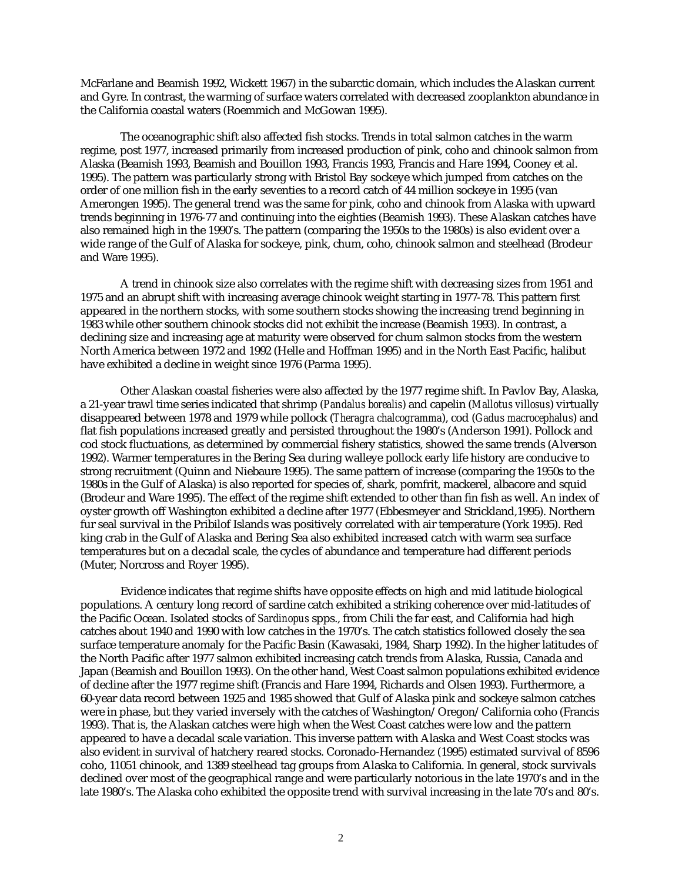McFarlane and Beamish 1992, Wickett 1967) in the subarctic domain, which includes the Alaskan current and Gyre. In contrast, the warming of surface waters correlated with decreased zooplankton abundance in the California coastal waters (Roemmich and McGowan 1995).

The oceanographic shift also affected fish stocks. Trends in total salmon catches in the warm regime, post 1977, increased primarily from increased production of pink, coho and chinook salmon from Alaska (Beamish 1993, Beamish and Bouillon 1993, Francis 1993, Francis and Hare 1994, Cooney et al. 1995). The pattern was particularly strong with Bristol Bay sockeye which jumped from catches on the order of one million fish in the early seventies to a record catch of 44 million sockeye in 1995 (van Amerongen 1995). The general trend was the same for pink, coho and chinook from Alaska with upward trends beginning in 1976-77 and continuing into the eighties (Beamish 1993). These Alaskan catches have also remained high in the 1990's. The pattern (comparing the 1950s to the 1980s) is also evident over a wide range of the Gulf of Alaska for sockeye, pink, chum, coho, chinook salmon and steelhead (Brodeur and Ware 1995).

A trend in chinook size also correlates with the regime shift with decreasing sizes from 1951 and 1975 and an abrupt shift with increasing average chinook weight starting in 1977-78. This pattern first appeared in the northern stocks, with some southern stocks showing the increasing trend beginning in 1983 while other southern chinook stocks did not exhibit the increase (Beamish 1993). In contrast, a declining size and increasing age at maturity were observed for chum salmon stocks from the western North America between 1972 and 1992 (Helle and Hoffman 1995) and in the North East Pacific, halibut have exhibited a decline in weight since 1976 (Parma 1995).

Other Alaskan coastal fisheries were also affected by the 1977 regime shift. In Pavlov Bay, Alaska, a 21-year trawl time series indicated that shrimp (*Pandalus borealis*) and capelin (*Mallotus villosus*) virtually disappeared between 1978 and 1979 while pollock (*Theragra chalcogramma*), cod (*Gadus macrocephalus*) and flat fish populations increased greatly and persisted throughout the 1980's (Anderson 1991). Pollock and cod stock fluctuations, as determined by commercial fishery statistics, showed the same trends (Alverson 1992). Warmer temperatures in the Bering Sea during walleye pollock early life history are conducive to strong recruitment (Quinn and Niebaure 1995). The same pattern of increase (comparing the 1950s to the 1980s in the Gulf of Alaska) is also reported for species of, shark, pomfrit, mackerel, albacore and squid (Brodeur and Ware 1995). The effect of the regime shift extended to other than fin fish as well. An index of oyster growth off Washington exhibited a decline after 1977 (Ebbesmeyer and Strickland,1995). Northern fur seal survival in the Pribilof Islands was positively correlated with air temperature (York 1995). Red king crab in the Gulf of Alaska and Bering Sea also exhibited increased catch with warm sea surface temperatures but on a decadal scale, the cycles of abundance and temperature had different periods (Muter, Norcross and Royer 1995).

Evidence indicates that regime shifts have opposite effects on high and mid latitude biological populations. A century long record of sardine catch exhibited a striking coherence over mid-latitudes of the Pacific Ocean. Isolated stocks of *Sardinopus* spps., from Chili the far east, and California had high catches about 1940 and 1990 with low catches in the 1970's. The catch statistics followed closely the sea surface temperature anomaly for the Pacific Basin (Kawasaki, 1984, Sharp 1992). In the higher latitudes of the North Pacific after 1977 salmon exhibited increasing catch trends from Alaska, Russia, Canada and Japan (Beamish and Bouillon 1993). On the other hand, West Coast salmon populations exhibited evidence of decline after the 1977 regime shift (Francis and Hare 1994, Richards and Olsen 1993). Furthermore, a 60-year data record between 1925 and 1985 showed that Gulf of Alaska pink and sockeye salmon catches were in phase, but they varied inversely with the catches of Washington/Oregon/California coho (Francis 1993). That is, the Alaskan catches were high when the West Coast catches were low and the pattern appeared to have a decadal scale variation. This inverse pattern with Alaska and West Coast stocks was also evident in survival of hatchery reared stocks. Coronado-Hernandez (1995) estimated survival of 8596 coho, 11051 chinook, and 1389 steelhead tag groups from Alaska to California. In general, stock survivals declined over most of the geographical range and were particularly notorious in the late 1970's and in the late 1980's. The Alaska coho exhibited the opposite trend with survival increasing in the late 70's and 80's.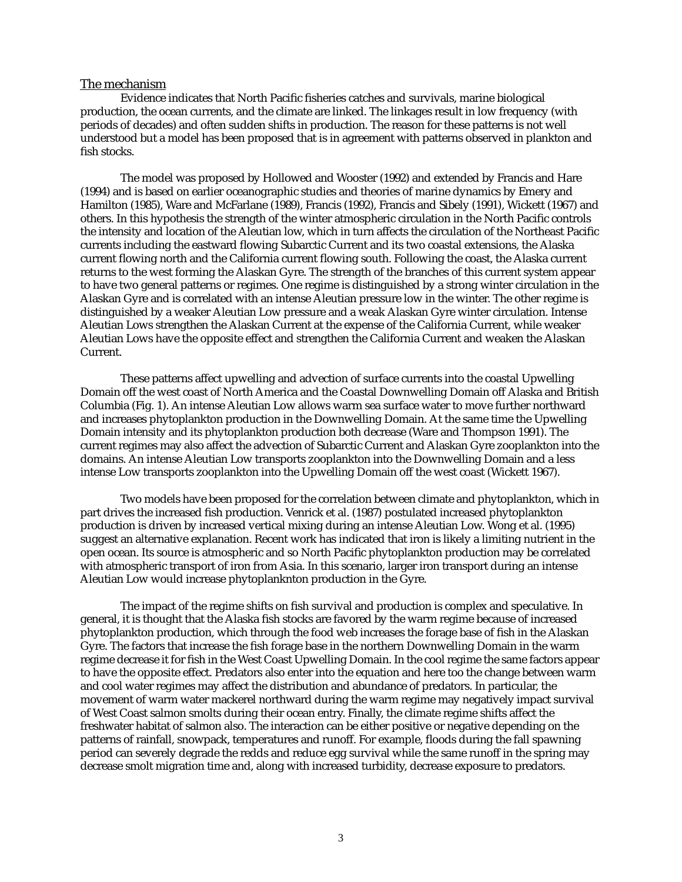#### The mechanism

Evidence indicates that North Pacific fisheries catches and survivals, marine biological production, the ocean currents, and the climate are linked. The linkages result in low frequency (with periods of decades) and often sudden shifts in production. The reason for these patterns is not well understood but a model has been proposed that is in agreement with patterns observed in plankton and fish stocks.

The model was proposed by Hollowed and Wooster (1992) and extended by Francis and Hare (1994) and is based on earlier oceanographic studies and theories of marine dynamics by Emery and Hamilton (1985), Ware and McFarlane (1989), Francis (1992), Francis and Sibely (1991), Wickett (1967) and others. In this hypothesis the strength of the winter atmospheric circulation in the North Pacific controls the intensity and location of the Aleutian low, which in turn affects the circulation of the Northeast Pacific currents including the eastward flowing Subarctic Current and its two coastal extensions, the Alaska current flowing north and the California current flowing south. Following the coast, the Alaska current returns to the west forming the Alaskan Gyre. The strength of the branches of this current system appear to have two general patterns or regimes. One regime is distinguished by a strong winter circulation in the Alaskan Gyre and is correlated with an intense Aleutian pressure low in the winter. The other regime is distinguished by a weaker Aleutian Low pressure and a weak Alaskan Gyre winter circulation. Intense Aleutian Lows strengthen the Alaskan Current at the expense of the California Current, while weaker Aleutian Lows have the opposite effect and strengthen the California Current and weaken the Alaskan Current.

These patterns affect upwelling and advection of surface currents into the coastal Upwelling Domain off the west coast of North America and the Coastal Downwelling Domain off Alaska and British Columbia ([Fig. 1\)](#page-3-0). An intense Aleutian Low allows warm sea surface water to move further northward and increases phytoplankton production in the Downwelling Domain. At the same time the Upwelling Domain intensity and its phytoplankton production both decrease (Ware and Thompson 1991). The current regimes may also affect the advection of Subarctic Current and Alaskan Gyre zooplankton into the domains. An intense Aleutian Low transports zooplankton into the Downwelling Domain and a less intense Low transports zooplankton into the Upwelling Domain off the west coast (Wickett 1967).

Two models have been proposed for the correlation between climate and phytoplankton, which in part drives the increased fish production. Venrick et al. (1987) postulated increased phytoplankton production is driven by increased vertical mixing during an intense Aleutian Low. Wong et al. (1995) suggest an alternative explanation. Recent work has indicated that iron is likely a limiting nutrient in the open ocean. Its source is atmospheric and so North Pacific phytoplankton production may be correlated with atmospheric transport of iron from Asia. In this scenario, larger iron transport during an intense Aleutian Low would increase phytoplanknton production in the Gyre.

The impact of the regime shifts on fish survival and production is complex and speculative. In general, it is thought that the Alaska fish stocks are favored by the warm regime because of increased phytoplankton production, which through the food web increases the forage base of fish in the Alaskan Gyre. The factors that increase the fish forage base in the northern Downwelling Domain in the warm regime decrease it for fish in the West Coast Upwelling Domain. In the cool regime the same factors appear to have the opposite effect. Predators also enter into the equation and here too the change between warm and cool water regimes may affect the distribution and abundance of predators. In particular, the movement of warm water mackerel northward during the warm regime may negatively impact survival of West Coast salmon smolts during their ocean entry. Finally, the climate regime shifts affect the freshwater habitat of salmon also. The interaction can be either positive or negative depending on the patterns of rainfall, snowpack, temperatures and runoff. For example, floods during the fall spawning period can severely degrade the redds and reduce egg survival while the same runoff in the spring may decrease smolt migration time and, along with increased turbidity, decrease exposure to predators.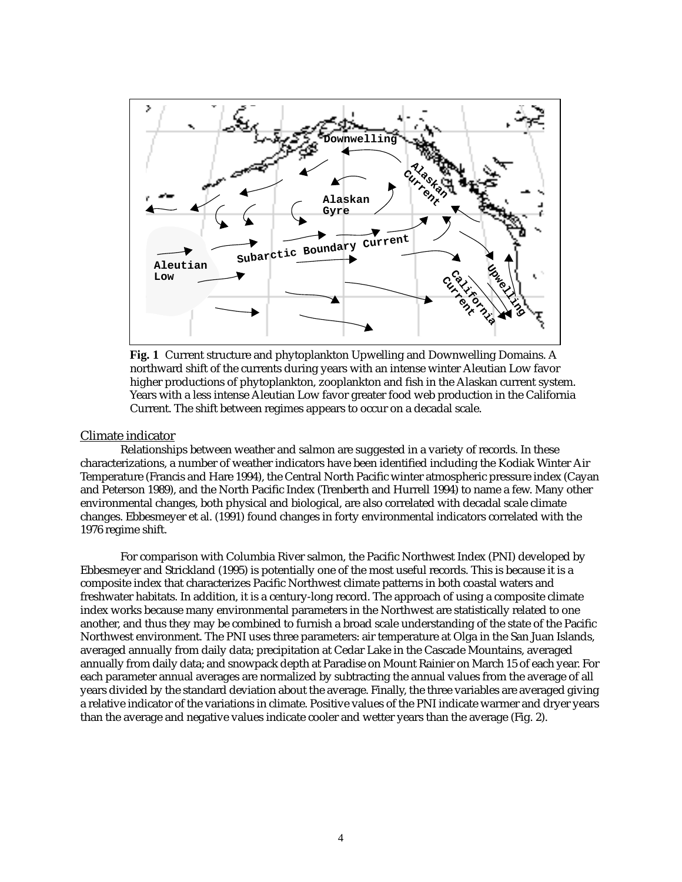<span id="page-3-0"></span>

**Fig. 1** Current structure and phytoplankton Upwelling and Downwelling Domains. A northward shift of the currents during years with an intense winter Aleutian Low favor higher productions of phytoplankton, zooplankton and fish in the Alaskan current system. Years with a less intense Aleutian Low favor greater food web production in the California Current. The shift between regimes appears to occur on a decadal scale.

### Climate indicator

Relationships between weather and salmon are suggested in a variety of records. In these characterizations, a number of weather indicators have been identified including the Kodiak Winter Air Temperature (Francis and Hare 1994), the Central North Pacific winter atmospheric pressure index (Cayan and Peterson 1989), and the North Pacific Index (Trenberth and Hurrell 1994) to name a few. Many other environmental changes, both physical and biological, are also correlated with decadal scale climate changes. Ebbesmeyer et al. (1991) found changes in forty environmental indicators correlated with the 1976 regime shift.

For comparison with Columbia River salmon, the Pacific Northwest Index (PNI) developed by Ebbesmeyer and Strickland (1995) is potentially one of the most useful records. This is because it is a composite index that characterizes Pacific Northwest climate patterns in both coastal waters and freshwater habitats. In addition, it is a century-long record. The approach of using a composite climate index works because many environmental parameters in the Northwest are statistically related to one another, and thus they may be combined to furnish a broad scale understanding of the state of the Pacific Northwest environment. The PNI uses three parameters: air temperature at Olga in the San Juan Islands, averaged annually from daily data; precipitation at Cedar Lake in the Cascade Mountains, averaged annually from daily data; and snowpack depth at Paradise on Mount Rainier on March 15 of each year. For each parameter annual averages are normalized by subtracting the annual values from the average of all years divided by the standard deviation about the average. Finally, the three variables are averaged giving a relative indicator of the variations in climate. Positive values of the PNI indicate warmer and dryer years than the average and negative values indicate cooler and wetter years than the average ([Fig. 2\)](#page-4-0).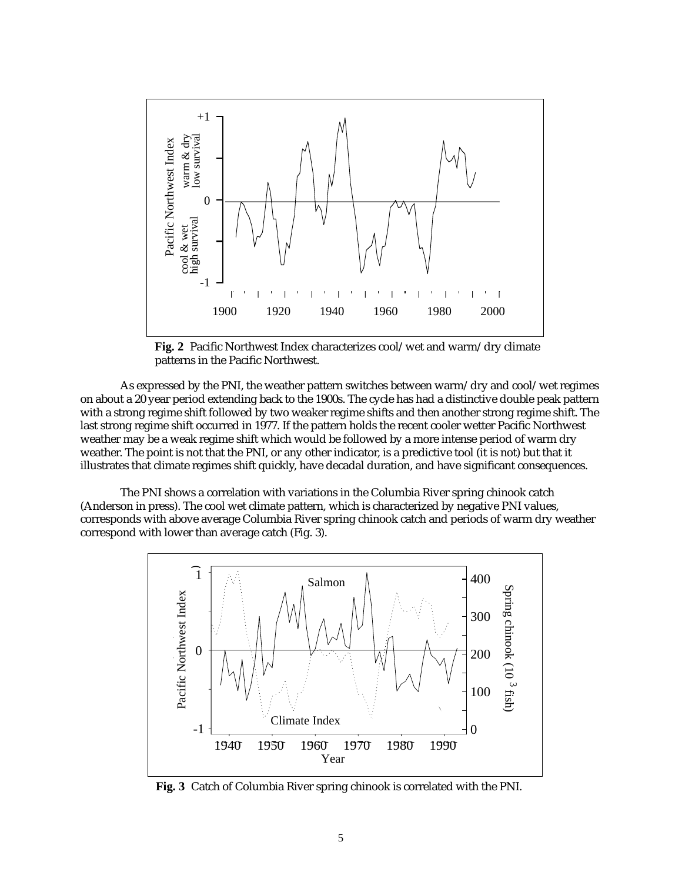<span id="page-4-0"></span>

**Fig. 2** Pacific Northwest Index characterizes cool/wet and warm/dry climate patterns in the Pacific Northwest.

As expressed by the PNI, the weather pattern switches between warm/dry and cool/wet regimes on about a 20 year period extending back to the 1900s. The cycle has had a distinctive double peak pattern with a strong regime shift followed by two weaker regime shifts and then another strong regime shift. The last strong regime shift occurred in 1977. If the pattern holds the recent cooler wetter Pacific Northwest weather may be a weak regime shift which would be followed by a more intense period of warm dry weather. The point is not that the PNI, or any other indicator, is a predictive tool (it is not) but that it illustrates that climate regimes shift quickly, have decadal duration, and have significant consequences.

The PNI shows a correlation with variations in the Columbia River spring chinook catch (Anderson in press). The cool wet climate pattern, which is characterized by negative PNI values, corresponds with above average Columbia River spring chinook catch and periods of warm dry weather correspond with lower than average catch (Fig. 3).



**Fig. 3** Catch of Columbia River spring chinook is correlated with the PNI.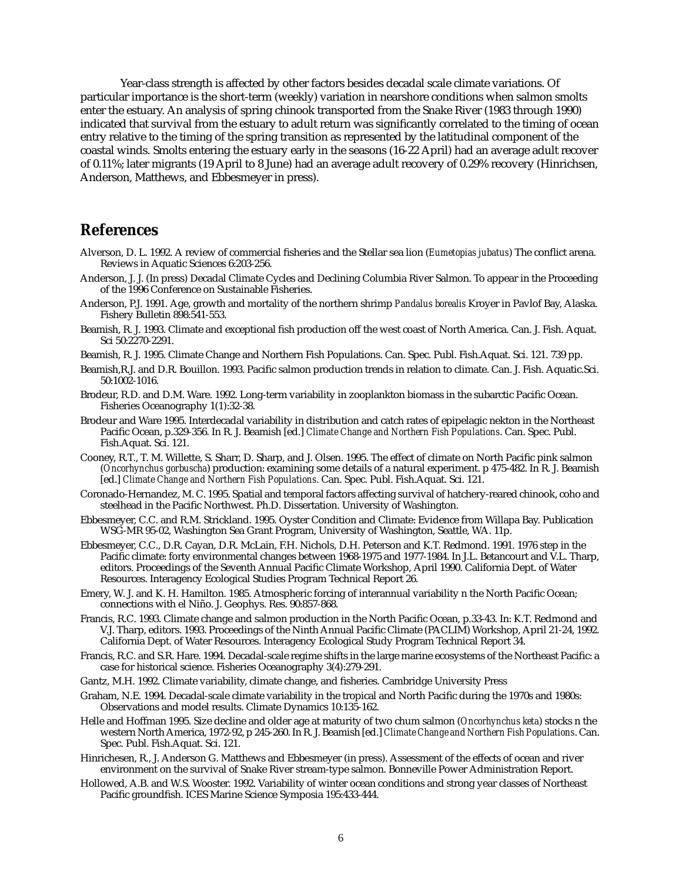Year-class strength is affected by other factors besides decadal scale climate variations. Of particular importance is the short-term (weekly) variation in nearshore conditions when salmon smolts enter the estuary. An analysis of spring chinook transported from the Snake River (1983 through 1990) indicated that survival from the estuary to adult return was significantly correlated to the timing of ocean entry relative to the timing of the spring transition as represented by the latitudinal component of the coastal winds. Smolts entering the estuary early in the seasons (16-22 April) had an average adult recover of 0.11%; later migrants (19 April to 8 June) had an average adult recovery of 0.29% recovery (Hinrichsen, Anderson, Matthews, and Ebbesmeyer in press).

# **References**

- Alverson, D. L. 1992. A review of commercial fisheries and the Stellar sea lion (*Eumetopias jubatus*) The conflict arena. Reviews in Aquatic Sciences 6:203-256.
- Anderson, J. J. (In press) Decadal Climate Cycles and Declining Columbia River Salmon. To appear in the Proceeding of the 1996 Conference on Sustainable Fisheries.
- Anderson, P.J. 1991. Age, growth and mortality of the northern shrimp *Pandalus borealis* Kroyer in Pavlof Bay, Alaska. Fishery Bulletin 898:541-553.
- Beamish, R. J. 1993. Climate and exceptional fish production off the west coast of North America. Can. J. Fish. Aquat. Sci 50:2270-2291.
- Beamish, R. J. 1995. Climate Change and Northern Fish Populations. Can. Spec. Publ. Fish.Aquat. Sci. 121. 739 pp.
- Beamish,R.J. and D.R. Bouillon. 1993. Pacific salmon production trends in relation to climate. Can. J. Fish. Aquatic.Sci. 50:1002-1016.
- Brodeur, R.D. and D.M. Ware. 1992. Long-term variability in zooplankton biomass in the subarctic Pacific Ocean. Fisheries Oceanography 1(1):32-38.
- Brodeur and Ware 1995. Interdecadal variability in distribution and catch rates of epipelagic nekton in the Northeast Pacific Ocean, p.329-356. In R. J. Beamish [ed.] *Climate Change and Northern Fish Populations*. Can. Spec. Publ. Fish.Aquat. Sci. 121.
- Cooney, R.T., T. M. Willette, S. Sharr, D. Sharp, and J. Olsen. 1995. The effect of climate on North Pacific pink salmon (*Oncorhynchus gorbuscha*) production: examining some details of a natural experiment. p 475-482. In R. J. Beamish [ed.] *Climate Change and Northern Fish Populations*. Can. Spec. Publ. Fish.Aquat. Sci. 121.
- Coronado-Hernandez, M. C. 1995. Spatial and temporal factors affecting survival of hatchery-reared chinook, coho and steelhead in the Pacific Northwest. Ph.D. Dissertation. University of Washington.
- Ebbesmeyer, C.C. and R.M. Strickland. 1995. Oyster Condition and Climate: Evidence from Willapa Bay. Publication WSG-MR 95-02, Washington Sea Grant Program, University of Washington, Seattle, WA. 11p.
- Ebbesmeyer, C.C., D.R. Cayan, D.R. McLain, F.H. Nichols, D.H. Peterson and K.T. Redmond. 1991. 1976 step in the Pacific climate: forty environmental changes between 1968-1975 and 1977-1984. In J.L. Betancourt and V.L. Tharp, editors. Proceedings of the Seventh Annual Pacific Climate Workshop, April 1990. California Dept. of Water Resources. Interagency Ecological Studies Program Technical Report 26.
- Emery, W. J. and K. H. Hamilton. 1985. Atmospheric forcing of interannual variability n the North Pacific Ocean; connections with el Niño. J. Geophys. Res. 90:857-868.
- Francis, R.C. 1993. Climate change and salmon production in the North Pacific Ocean, p.33-43. In: K.T. Redmond and V.J. Tharp, editors. 1993. Proceedings of the Ninth Annual Pacific Climate (PACLIM) Workshop, April 21-24, 1992. California Dept. of Water Resources. Interagency Ecological Study Program Technical Report 34.
- Francis, R.C. and S.R. Hare. 1994. Decadal-scale regime shifts in the large marine ecosystems of the Northeast Pacific: a case for historical science. Fisheries Oceanography 3(4):279-291.
- Gantz, M.H. 1992. Climate variability, climate change, and fisheries. Cambridge University Press
- Graham, N.E. 1994. Decadal-scale climate variability in the tropical and North Pacific during the 1970s and 1980s: Observations and model results. Climate Dynamics 10:135-162.
- Helle and Hoffman 1995. Size decline and older age at maturity of two chum salmon (*Oncorhynchus keta*) stocks n the western North America, 1972-92, p 245-260. In R. J. Beamish [ed.] *Climate Change and Northern Fish Populations*. Can. Spec. Publ. Fish.Aquat. Sci. 121.
- Hinrichesen, R., J. Anderson G. Matthews and Ebbesmeyer (in press). Assessment of the effects of ocean and river environment on the survival of Snake River stream-type salmon. Bonneville Power Administration Report.
- Hollowed, A.B. and W.S. Wooster. 1992. Variability of winter ocean conditions and strong year classes of Northeast Pacific groundfish. ICES Marine Science Symposia 195:433-444.